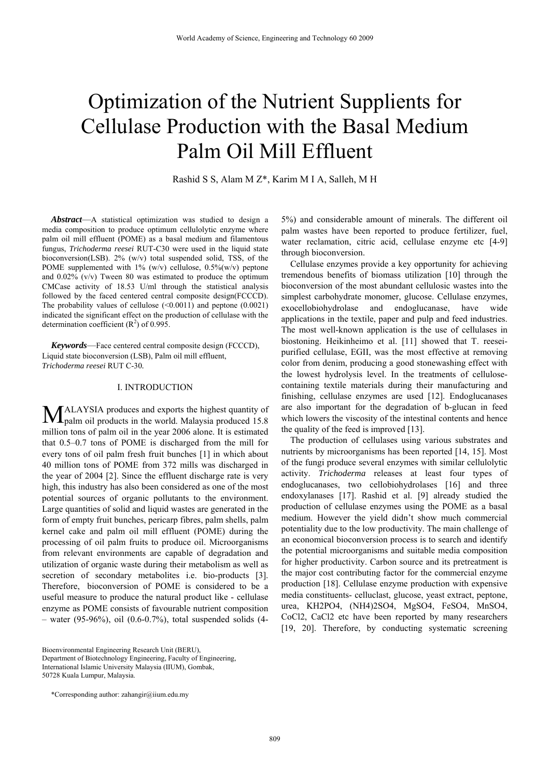# Optimization of the Nutrient Supplients for Cellulase Production with the Basal Medium Palm Oil Mill Effluent

Rashid S S, Alam M Z\*, Karim M I A, Salleh, M H

*Abstract*—A statistical optimization was studied to design a media composition to produce optimum cellulolytic enzyme where palm oil mill effluent (POME) as a basal medium and filamentous fungus, *Trichoderma reesei* RUT-C30 were used in the liquid state bioconversion(LSB). 2% (w/v) total suspended solid, TSS, of the POME supplemented with  $1\%$  (w/v) cellulose,  $0.5\%$ (w/v) peptone and 0.02% (v/v) Tween 80 was estimated to produce the optimum CMCase activity of 18.53 U/ml through the statistical analysis followed by the faced centered central composite design(FCCCD). The probability values of cellulose  $(\leq 0.0011)$  and peptone  $(0.0021)$ indicated the significant effect on the production of cellulase with the determination coefficient  $(R<sup>2</sup>)$  of 0.995.

*Keywords*—Face centered central composite design (FCCCD), Liquid state bioconversion (LSB), Palm oil mill effluent, *Trichoderma reesei* RUT C-30*.*

## I. INTRODUCTION

ALAYSIA produces and exports the highest quantity of MALAYSIA produces and exports the highest quantity of palm oil products in the world. Malaysia produced 15.8 million tons of palm oil in the year 2006 alone. It is estimated that 0.5–0.7 tons of POME is discharged from the mill for every tons of oil palm fresh fruit bunches [1] in which about 40 million tons of POME from 372 mills was discharged in the year of 2004 [2]. Since the effluent discharge rate is very high, this industry has also been considered as one of the most potential sources of organic pollutants to the environment. Large quantities of solid and liquid wastes are generated in the form of empty fruit bunches, pericarp fibres, palm shells, palm kernel cake and palm oil mill effluent (POME) during the processing of oil palm fruits to produce oil. Microorganisms from relevant environments are capable of degradation and utilization of organic waste during their metabolism as well as secretion of secondary metabolites i.e. bio-products [3]. Therefore, bioconversion of POME is considered to be a useful measure to produce the natural product like - cellulase enzyme as POME consists of favourable nutrient composition – water (95-96%), oil (0.6-0.7%), total suspended solids (4-

Bioenvironmental Engineering Research Unit (BERU), Department of Biotechnology Engineering, Faculty of Engineering, International Islamic University Malaysia (IIUM), Gombak, 50728 Kuala Lumpur, Malaysia.

5%) and considerable amount of minerals. The different oil palm wastes have been reported to produce fertilizer, fuel, water reclamation, citric acid, cellulase enzyme etc [4-9] through bioconversion.

Cellulase enzymes provide a key opportunity for achieving tremendous benefits of biomass utilization [10] through the bioconversion of the most abundant cellulosic wastes into the simplest carbohydrate monomer, glucose. Cellulase enzymes, exocellobiohydrolase and endoglucanase, have wide applications in the textile, paper and pulp and feed industries. The most well-known application is the use of cellulases in biostoning. Heikinheimo et al. [11] showed that T. reeseipurified cellulase, EGII, was the most effective at removing color from denim, producing a good stonewashing effect with the lowest hydrolysis level. In the treatments of cellulosecontaining textile materials during their manufacturing and finishing, cellulase enzymes are used [12]. Endoglucanases are also important for the degradation of b-glucan in feed which lowers the viscosity of the intestinal contents and hence the quality of the feed is improved [13].

The production of cellulases using various substrates and nutrients by microorganisms has been reported [14, 15]. Most of the fungi produce several enzymes with similar cellulolytic activity. *Trichoderma* releases at least four types of endoglucanases, two cellobiohydrolases [16] and three endoxylanases [17]. Rashid et al. [9] already studied the production of cellulase enzymes using the POME as a basal medium. However the yield didn't show much commercial potentiality due to the low productivity. The main challenge of an economical bioconversion process is to search and identify the potential microorganisms and suitable media composition for higher productivity. Carbon source and its pretreatment is the major cost contributing factor for the commercial enzyme production [18]. Cellulase enzyme production with expensive media constituents- celluclast, glucose, yeast extract, peptone, urea, KH2PO4, (NH4)2SO4, MgSO4, FeSO4, MnSO4, CoCl2, CaCl2 etc have been reported by many researchers [19, 20]. Therefore, by conducting systematic screening

<sup>\*</sup>Corresponding author: zahangir@iium.edu.my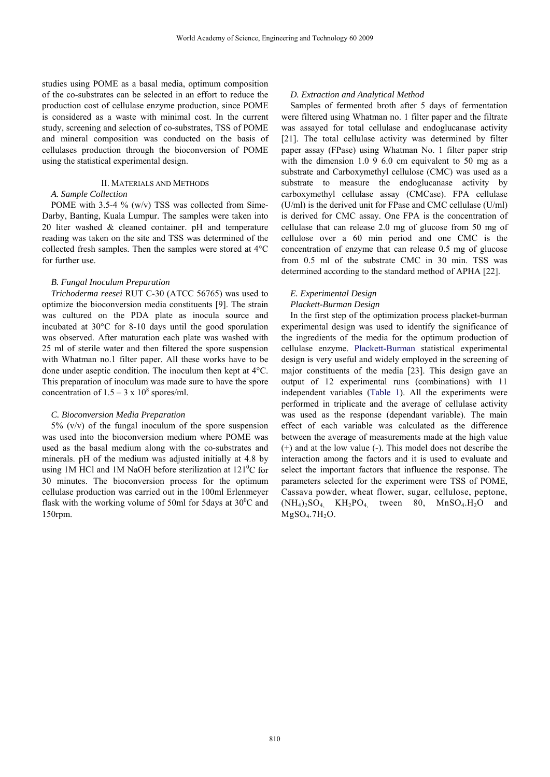studies using POME as a basal media, optimum composition of the co-substrates can be selected in an effort to reduce the production cost of cellulase enzyme production, since POME is considered as a waste with minimal cost. In the current study, screening and selection of co-substrates, TSS of POME and mineral composition was conducted on the basis of cellulases production through the bioconversion of POME using the statistical experimental design.

### II. MATERIALS AND METHODS

## *A. Sample Collection*

POME with 3.5-4 % (w/v) TSS was collected from Sime-Darby, Banting, Kuala Lumpur. The samples were taken into 20 liter washed & cleaned container. pH and temperature reading was taken on the site and TSS was determined of the collected fresh samples. Then the samples were stored at 4°C for further use.

#### *B. Fungal Inoculum Preparation*

*Trichoderma reesei* RUT C-30 (ATCC 56765) was used to optimize the bioconversion media constituents [9]. The strain was cultured on the PDA plate as inocula source and incubated at 30°C for 8-10 days until the good sporulation was observed. After maturation each plate was washed with 25 ml of sterile water and then filtered the spore suspension with Whatman no.1 filter paper. All these works have to be done under aseptic condition. The inoculum then kept at 4°C. This preparation of inoculum was made sure to have the spore concentration of  $1.5 - 3 \times 10^8$  spores/ml.

#### *C. Bioconversion Media Preparation*

 $5\%$  (v/v) of the fungal inoculum of the spore suspension was used into the bioconversion medium where POME was used as the basal medium along with the co-substrates and minerals. pH of the medium was adjusted initially at 4.8 by using 1M HCl and 1M NaOH before sterilization at  $121^{\circ}$ C for 30 minutes. The bioconversion process for the optimum cellulase production was carried out in the 100ml Erlenmeyer flask with the working volume of 50ml for 5days at  $30^{\circ}$ C and 150rpm.

#### *D. Extraction and Analytical Method*

Samples of fermented broth after 5 days of fermentation were filtered using Whatman no. 1 filter paper and the filtrate was assayed for total cellulase and endoglucanase activity [21]. The total cellulase activity was determined by filter paper assay (FPase) using Whatman No. 1 filter paper strip with the dimension 1.0 9 6.0 cm equivalent to 50 mg as a substrate and Carboxymethyl cellulose (CMC) was used as a substrate to measure the endoglucanase activity by carboxymethyl cellulase assay (CMCase). FPA cellulase (U/ml) is the derived unit for FPase and CMC cellulase (U/ml) is derived for CMC assay. One FPA is the concentration of cellulase that can release 2.0 mg of glucose from 50 mg of cellulose over a 60 min period and one CMC is the concentration of enzyme that can release 0.5 mg of glucose from 0.5 ml of the substrate CMC in 30 min. TSS was determined according to the standard method of APHA [22].

## *E. Experimental Design Plackett-Burman Design*

## In the first step of the optimization process placket-burman experimental design was used to identify the significance of the ingredients of the media for the optimum production of cellulase enzyme. Plackett-Burman statistical experimental design is very useful and widely employed in the screening of major constituents of the media [23]. This design gave an output of 12 experimental runs (combinations) with 11 independent variables (Table 1). All the experiments were performed in triplicate and the average of cellulase activity was used as the response (dependant variable). The main effect of each variable was calculated as the difference between the average of measurements made at the high value (+) and at the low value (-). This model does not describe the interaction among the factors and it is used to evaluate and select the important factors that influence the response. The parameters selected for the experiment were TSS of POME, Cassava powder, wheat flower, sugar, cellulose, peptone,  $(NH_4)$ <sub>2</sub>SO<sub>4</sub>,  $KH_2PO_4$  tween 80,  $MnSO_4.H_2O$  and  $MgSO<sub>4</sub>.7H<sub>2</sub>O.$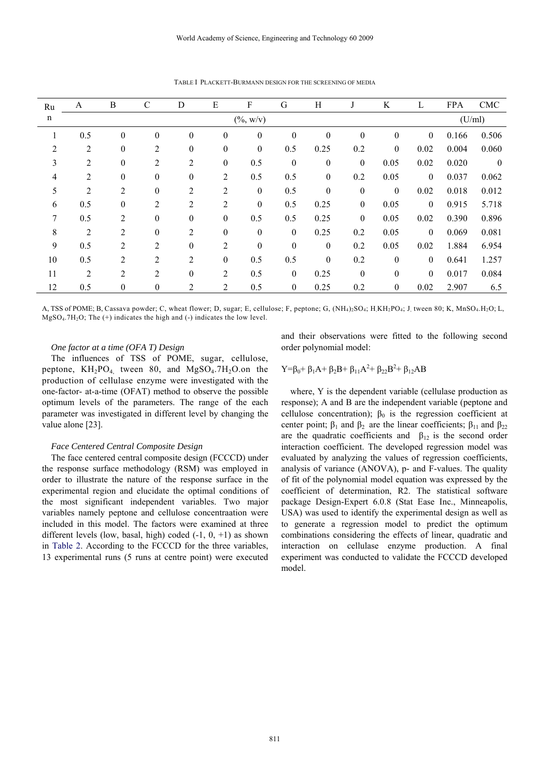| Ru             | A              | B                | C                | D                | ${\bf E}$        | F                    | G                | H                |                  | K                | L                | <b>FPA</b> | <b>CMC</b>     |
|----------------|----------------|------------------|------------------|------------------|------------------|----------------------|------------------|------------------|------------------|------------------|------------------|------------|----------------|
| $\mathbf n$    |                |                  |                  |                  |                  | $(\frac{0}{0}, w/v)$ |                  |                  |                  |                  |                  | (U/ml)     |                |
| $\mathbf 1$    | 0.5            | $\boldsymbol{0}$ | $\boldsymbol{0}$ | $\boldsymbol{0}$ | $\boldsymbol{0}$ | $\boldsymbol{0}$     | $\boldsymbol{0}$ | $\boldsymbol{0}$ | $\theta$         | $\boldsymbol{0}$ | $\boldsymbol{0}$ | 0.166      | 0.506          |
| $\overline{2}$ | $\overline{2}$ | $\theta$         | $\overline{2}$   | $\boldsymbol{0}$ | $\theta$         | $\boldsymbol{0}$     | 0.5              | 0.25             | 0.2              | $\mathbf{0}$     | 0.02             | 0.004      | 0.060          |
| 3              | 2              | $\theta$         | 2                | $\overline{c}$   | $\boldsymbol{0}$ | 0.5                  | $\boldsymbol{0}$ | $\boldsymbol{0}$ | $\boldsymbol{0}$ | 0.05             | 0.02             | 0.020      | $\overline{0}$ |
| 4              | $\overline{2}$ | $\theta$         | $\theta$         | $\theta$         | 2                | 0.5                  | 0.5              | $\boldsymbol{0}$ | 0.2              | 0.05             | $\mathbf{0}$     | 0.037      | 0.062          |
| 5              | 2              | $\overline{2}$   | $\theta$         | 2                | $\overline{2}$   | $\boldsymbol{0}$     | 0.5              | $\boldsymbol{0}$ | $\boldsymbol{0}$ | $\theta$         | 0.02             | 0.018      | 0.012          |
| 6              | 0.5            | $\theta$         | $\overline{2}$   | $\overline{c}$   | $\overline{c}$   | $\boldsymbol{0}$     | 0.5              | 0.25             | $\boldsymbol{0}$ | 0.05             | $\boldsymbol{0}$ | 0.915      | 5.718          |
| 7              | 0.5            | $\overline{2}$   | $\theta$         | $\boldsymbol{0}$ | $\boldsymbol{0}$ | 0.5                  | 0.5              | 0.25             | $\boldsymbol{0}$ | 0.05             | 0.02             | 0.390      | 0.896          |
| 8              | $\overline{2}$ | $\overline{2}$   | $\boldsymbol{0}$ | $\overline{c}$   | $\boldsymbol{0}$ | $\boldsymbol{0}$     | $\boldsymbol{0}$ | 0.25             | 0.2              | 0.05             | $\mathbf{0}$     | 0.069      | 0.081          |
| 9              | 0.5            | $\overline{2}$   | $\overline{2}$   | $\boldsymbol{0}$ | 2                | $\boldsymbol{0}$     | $\boldsymbol{0}$ | $\boldsymbol{0}$ | 0.2              | 0.05             | 0.02             | 1.884      | 6.954          |
| 10             | 0.5            | $\overline{2}$   | $\overline{2}$   | $\overline{2}$   | $\theta$         | 0.5                  | 0.5              | $\mathbf{0}$     | 0.2              | $\theta$         | $\theta$         | 0.641      | 1.257          |
| 11             | $\overline{2}$ | $\overline{2}$   | 2                | $\boldsymbol{0}$ | 2                | 0.5                  | $\mathbf{0}$     | 0.25             | $\mathbf{0}$     | $\boldsymbol{0}$ | $\mathbf{0}$     | 0.017      | 0.084          |
| 12             | 0.5            | $\mathbf{0}$     | $\overline{0}$   | $\overline{c}$   | 2                | 0.5                  | $\boldsymbol{0}$ | 0.25             | 0.2              | $\boldsymbol{0}$ | 0.02             | 2.907      | 6.5            |

TABLE I PLACKETT-BURMANN DESIGN FOR THE SCREENING OF MEDIA

A, TSS of POME; B, Cassava powder; C, wheat flower; D, sugar; E, cellulose; F, peptone; G,  $(NH_4)_2SO_4$ ; H, KH<sub>2</sub>PO<sub>4</sub>; J, tween 80; K, MnSO<sub>4</sub>.H<sub>2</sub>O; L, MgSO4.7H2O; The (+) indicates the high and (-) indicates the low level.

#### *One factor at a time (OFA T) Design*

The influences of TSS of POME, sugar, cellulose, peptone,  $KH_2PO_4$  tween 80, and  $MgSO_4$ .7H<sub>2</sub>O.on the production of cellulase enzyme were investigated with the one-factor- at-a-time (OFAT) method to observe the possible optimum levels of the parameters. The range of the each parameter was investigated in different level by changing the value alone [23].

#### *Face Centered Central Composite Design*

The face centered central composite design (FCCCD) under the response surface methodology (RSM) was employed in order to illustrate the nature of the response surface in the experimental region and elucidate the optimal conditions of the most significant independent variables. Two major variables namely peptone and cellulose concentraation were included in this model. The factors were examined at three different levels (low, basal, high) coded  $(-1, 0, +1)$  as shown in Table 2. According to the FCCCD for the three variables, 13 experimental runs (5 runs at centre point) were executed and their observations were fitted to the following second order polynomial model:

$$
Y=\beta_0+\beta_1A+\beta_2B+\beta_{11}A^2+\beta_{22}B^2+\beta_{12}AB
$$

where, Y is the dependent variable (cellulase production as response); A and B are the independent variable (peptone and cellulose concentration);  $\beta_0$  is the regression coefficient at center point;  $\beta_1$  and  $\beta_2$  are the linear coefficients;  $\beta_{11}$  and  $\beta_{22}$ are the quadratic coefficients and  $\beta_{12}$  is the second order interaction coefficient. The developed regression model was evaluated by analyzing the values of regression coefficients, analysis of variance (ANOVA), p- and F-values. The quality of fit of the polynomial model equation was expressed by the coefficient of determination, R2. The statistical software package Design-Expert 6.0.8 (Stat Ease Inc., Minneapolis, USA) was used to identify the experimental design as well as to generate a regression model to predict the optimum combinations considering the effects of linear, quadratic and interaction on cellulase enzyme production. A final experiment was conducted to validate the FCCCD developed model.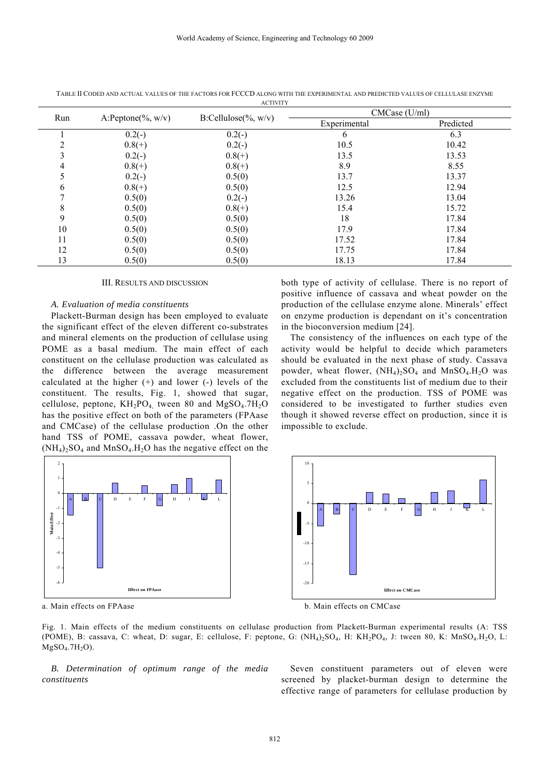| Run | A:Peptone(%, $w/v$ ) | $B:Cellulose(\%, w/v)$ | CMCase (U/ml) |           |  |  |
|-----|----------------------|------------------------|---------------|-----------|--|--|
|     |                      |                        | Experimental  | Predicted |  |  |
|     | $0.2(-)$             | $0.2(-)$               | 6             | 6.3       |  |  |
|     | $0.8(+)$             | $0.2(-)$               | 10.5          | 10.42     |  |  |
|     | $0.2(-)$             | $0.8(+)$               | 13.5          | 13.53     |  |  |
| 4   | $0.8(+)$             | $0.8(+)$               | 8.9           | 8.55      |  |  |
|     | $0.2(-)$             | 0.5(0)                 | 13.7          | 13.37     |  |  |
| 6   | $0.8(+)$             | 0.5(0)                 | 12.5          | 12.94     |  |  |
|     | 0.5(0)               | $0.2(-)$               | 13.26         | 13.04     |  |  |
| 8   | 0.5(0)               | $0.8(+)$               | 15.4          | 15.72     |  |  |
| 9   | 0.5(0)               | 0.5(0)                 | 18            | 17.84     |  |  |
| 10  | 0.5(0)               | 0.5(0)                 | 17.9          | 17.84     |  |  |
| 11  | 0.5(0)               | 0.5(0)                 | 17.52         | 17.84     |  |  |
| 12  | 0.5(0)               | 0.5(0)                 | 17.75         | 17.84     |  |  |
| 13  | 0.5(0)               | 0.5(0)                 | 18.13         | 17.84     |  |  |

TABLE II CODED AND ACTUAL VALUES OF THE FACTORS FOR FCCCD ALONG WITH THE EXPERIMENTAL AND PREDICTED VALUES OF CELLULASE ENZYME **ACTIVITY** 

#### III. RESULTS AND DISCUSSION

#### *A. Evaluation of media constituents*

Plackett-Burman design has been employed to evaluate the significant effect of the eleven different co-substrates and mineral elements on the production of cellulase using POME as a basal medium. The main effect of each constituent on the cellulase production was calculated as the difference between the average measurement calculated at the higher  $(+)$  and lower  $(-)$  levels of the constituent. The results, Fig. 1, showed that sugar, cellulose, peptone,  $KH_2PO_4$  tween 80 and  $MgSO_4.7H_2O$ has the positive effect on both of the parameters (FPAase and CMCase) of the cellulase production .On the other hand TSS of POME, cassava powder, wheat flower,  $(NH_4)_2SO_4$  and  $MnSO_4.H_2O$  has the negative effect on the



both type of activity of cellulase. There is no report of positive influence of cassava and wheat powder on the production of the cellulase enzyme alone. Minerals' effect on enzyme production is dependant on it's concentration in the bioconversion medium [24].

The consistency of the influences on each type of the activity would be helpful to decide which parameters should be evaluated in the next phase of study. Cassava powder, wheat flower,  $(NH_4)$ <sub>2</sub>SO<sub>4</sub> and MnSO<sub>4</sub>.H<sub>2</sub>O was excluded from the constituents list of medium due to their negative effect on the production. TSS of POME was considered to be investigated to further studies even though it showed reverse effect on production, since it is impossible to exclude.



a. Main effects on FPAase b. Main effects on CMCase

Fig. 1. Main effects of the medium constituents on cellulase production from Plackett-Burman experimental results (A: TSS (POME), B: cassava, C: wheat, D: sugar, E: cellulose, F: peptone, G:  $(NH_4)_2SO_4$ , H:  $KH_2PO_4$ , J: tween 80, K: MnSO<sub>4</sub>.H<sub>2</sub>O, L:  $MgSO<sub>4</sub>.7H<sub>2</sub>O$ ).

*B. Determination of optimum range of the media constituents* 

Seven constituent parameters out of eleven were screened by placket-burman design to determine the effective range of parameters for cellulase production by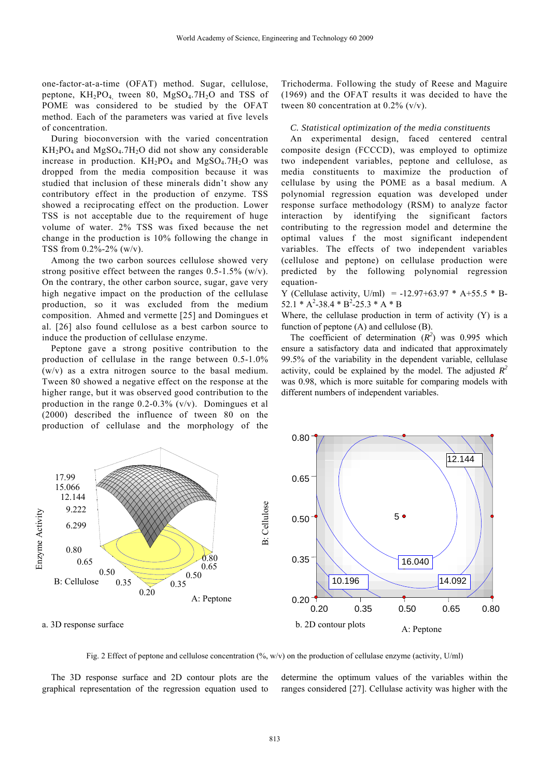one-factor-at-a-time (OFAT) method. Sugar, cellulose, peptone,  $KH_2PO_4$  tween 80,  $MgSO_4.7H_2O$  and TSS of POME was considered to be studied by the OFAT method. Each of the parameters was varied at five levels of concentration.

During bioconversion with the varied concentration  $KH_2PO_4$  and  $MgSO_4$ . 7H<sub>2</sub>O did not show any considerable increase in production.  $KH_2PO_4$  and  $MgSO_4.7H_2O$  was dropped from the media composition because it was studied that inclusion of these minerals didn't show any contributory effect in the production of enzyme. TSS showed a reciprocating effect on the production. Lower TSS is not acceptable due to the requirement of huge volume of water. 2% TSS was fixed because the net change in the production is 10% following the change in TSS from 0.2%-2% (w/v).

Among the two carbon sources cellulose showed very strong positive effect between the ranges  $0.5$ -1.5% (w/v). On the contrary, the other carbon source, sugar, gave very high negative impact on the production of the cellulase production, so it was excluded from the medium composition. Ahmed and vermette [25] and Domingues et al. [26] also found cellulose as a best carbon source to induce the production of cellulase enzyme.

Peptone gave a strong positive contribution to the production of cellulase in the range between 0.5-1.0% (w/v) as a extra nitrogen source to the basal medium. Tween 80 showed a negative effect on the response at the higher range, but it was observed good contribution to the production in the range  $0.2\n-0.3\%$  (v/v). Domingues et al (2000) described the influence of tween 80 on the production of cellulase and the morphology of the Trichoderma. Following the study of Reese and Maguire (1969) and the OFAT results it was decided to have the tween 80 concentration at  $0.2\%$  (v/v).

#### *C. Statistical optimization of the media constituents*

An experimental design, faced centered central composite design (FCCCD), was employed to optimize two independent variables, peptone and cellulose, as media constituents to maximize the production of cellulase by using the POME as a basal medium. A polynomial regression equation was developed under response surface methodology (RSM) to analyze factor interaction by identifying the significant factors contributing to the regression model and determine the optimal values f the most significant independent variables. The effects of two independent variables (cellulose and peptone) on cellulase production were predicted by the following polynomial regression equation-

Y (Cellulase activity, U/ml) = -12.97+63.97  $*$  A+55.5  $*$  B- $52.1 * A^2 - 38.4 * B^2 - 25.3 * A * B$ 

Where, the cellulase production in term of activity (Y) is a function of peptone (A) and cellulose (B).

The coefficient of determination  $(R^2)$  was 0.995 which ensure a satisfactory data and indicated that approximately 99.5% of the variability in the dependent variable, cellulase activity, could be explained by the model. The adjusted  $R^2$ was 0.98, which is more suitable for comparing models with different numbers of independent variables.



Fig. 2 Effect of peptone and cellulose concentration (%, w/v) on the production of cellulase enzyme (activity, U/ml)

The 3D response surface and 2D contour plots are the graphical representation of the regression equation used to determine the optimum values of the variables within the ranges considered [27]. Cellulase activity was higher with the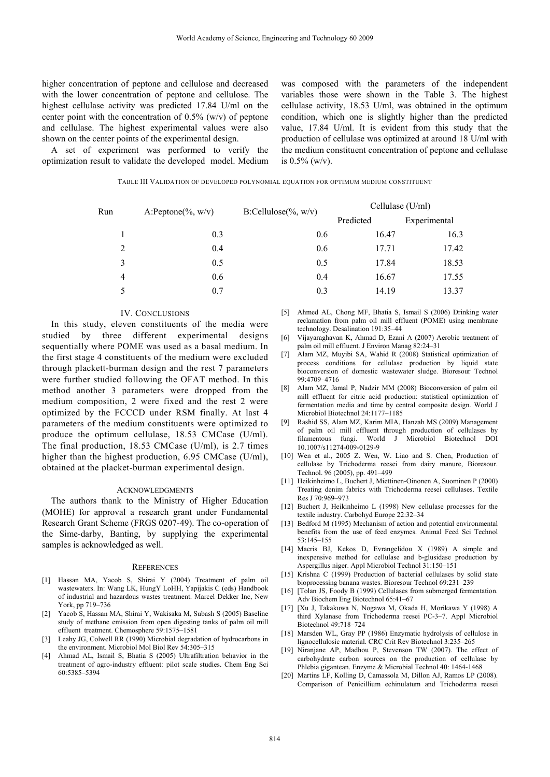higher concentration of peptone and cellulose and decreased with the lower concentration of peptone and cellulose. The highest cellulase activity was predicted 17.84 U/ml on the center point with the concentration of  $0.5\%$  (w/v) of peptone and cellulase. The highest experimental values were also shown on the center points of the experimental design.

A set of experiment was performed to verify the optimization result to validate the developed model. Medium was composed with the parameters of the independent variables those were shown in the Table 3. The highest cellulase activity, 18.53 U/ml, was obtained in the optimum condition, which one is slightly higher than the predicted value, 17.84 U/ml. It is evident from this study that the production of cellulase was optimized at around 18 U/ml with the medium constituent concentration of peptone and cellulase is  $0.5\%$  (w/v).

TABLE III VALIDATION OF DEVELOPED POLYNOMIAL EQUATION FOR OPTIMUM MEDIUM CONSTITUENT

| Run            | A:Peptone(%, $w/v$ ) | $B:Cellulose(\%, w/v)$ | Cellulase (U/ml) |              |  |
|----------------|----------------------|------------------------|------------------|--------------|--|
|                |                      |                        | Predicted        | Experimental |  |
|                | 0.3                  | 0.6                    | 16.47            | 16.3         |  |
| 2              | 0.4                  | 0.6                    | 17.71            | 17.42        |  |
| 3              | 0.5                  | 0.5                    | 17.84            | 18.53        |  |
| $\overline{4}$ | 0.6                  | 0.4                    | 16.67            | 17.55        |  |
| 5              | 0.7                  | 0.3                    | 14.19            | 13.37        |  |

#### IV. CONCLUSIONS

In this study, eleven constituents of the media were studied by three different experimental designs sequentially where POME was used as a basal medium. In the first stage 4 constituents of the medium were excluded through plackett-burman design and the rest 7 parameters were further studied following the OFAT method. In this method another 3 parameters were dropped from the medium composition, 2 were fixed and the rest 2 were optimized by the FCCCD under RSM finally. At last 4 parameters of the medium constituents were optimized to produce the optimum cellulase, 18.53 CMCase (U/ml). The final production, 18.53 CMCase (U/ml), is 2.7 times higher than the highest production, 6.95 CMCase (U/ml), obtained at the placket-burman experimental design.

#### ACKNOWLEDGMENTS

The authors thank to the Ministry of Higher Education (MOHE) for approval a research grant under Fundamental Research Grant Scheme (FRGS 0207-49). The co-operation of the Sime-darby, Banting, by supplying the experimental samples is acknowledged as well.

#### **REFERENCES**

- [1] Hassan MA, Yacob S, Shirai Y (2004) Treatment of palm oil wastewaters. In: Wang LK, HungY LoHH, Yapijakis C (eds) Handbook of industrial and hazardous wastes treatment. Marcel Dekker Inc, New York, pp 719–736
- [2] Yacob S, Hassan MA, Shirai Y, Wakisaka M, Subash S (2005) Baseline study of methane emission from open digesting tanks of palm oil mill effluent treatment. Chemosphere 59:1575–1581
- [3] Leahy JG, Colwell RR (1990) Microbial degradation of hydrocarbons in the environment. Microbiol Mol Biol Rev 54:305–315
- [4] Ahmad AL, Ismail S, Bhatia S (2005) Ultrafiltration behavior in the treatment of agro-industry effluent: pilot scale studies. Chem Eng Sci 60:5385–5394
- [5] Ahmed AL, Chong MF, Bhatia S, Ismail S (2006) Drinking water reclamation from palm oil mill effluent (POME) using membrane technology. Desalination 191:35–44
- [6] Vijayaraghavan K, Ahmad D, Ezani A (2007) Aerobic treatment of palm oil mill effluent. J Environ Manag 82:24–31
- [7] Alam MZ, Muyibi SA, Wahid R (2008) Statistical optimization of process conditions for cellulase production by liquid state bioconversion of domestic wastewater sludge. Bioresour Technol 99:4709–4716
- [8] Alam MZ, Jamal P, Nadzir MM (2008) Bioconversion of palm oil mill effluent for citric acid production: statistical optimization of fermentation media and time by central composite design. World J Microbiol Biotechnol 24:1177–1185
- [9] Rashid SS, Alam MZ, Karim MIA, Hanzah MS (2009) Management of palm oil mill effluent through production of cellulases by filamentous fungi. World J Microbiol Biotechnol DOI 10.1007/s11274-009-0129-9
- [10] Wen et al., 2005 Z. Wen, W. Liao and S. Chen, Production of cellulase by Trichoderma reesei from dairy manure, Bioresour. Technol. 96 (2005), pp. 491–499
- [11] Heikinheimo L, Buchert J, Miettinen-Oinonen A, Suominen P (2000) Treating denim fabrics with Trichoderma reesei cellulases. Textile Res J 70:969–973
- [12] Buchert J, Heikinheimo L (1998) New cellulase processes for the textile industry. Carbohyd Europe 22:32–34
- [13] Bedford M (1995) Mechanism of action and potential environmental benefits from the use of feed enzymes. Animal Feed Sci Technol 53:145–155
- [14] Macris BJ, Kekos D, Evrangelidou X (1989) A simple and inexpensive method for cellulase and b-glusidase production by Aspergillus niger. Appl Microbiol Technol 31:150–151
- [15] Krishna C (1999) Production of bacterial cellulases by solid state bioprocessing banana wastes. Bioresour Technol 69:231–239
- [16] [Tolan JS, Foody B (1999) Cellulases from submerged fermentation. Adv Biochem Eng Biotechnol 65:41–67
- [17] [Xu J, Takakuwa N, Nogawa M, Okada H, Morikawa Y (1998) A third Xylanase from Trichoderma reesei PC-3–7. Appl Microbiol Biotechnol 49:718–724
- [18] Marsden WL, Gray PP (1986) Enzymatic hydrolysis of cellulose in lignocellulosic material. CRC Crit Rev Biotechnol 3:235–265
- [19] Niranjane AP, Madhou P, Stevenson TW (2007). The effect of carbohydrate carbon sources on the production of cellulase by Phlebia gigantean. Enzyme & Microbial Technol 40: 1464-1468
- [20] Martins LF, Kolling D, Camassola M, Dillon AJ, Ramos LP (2008). Comparison of Penicillium echinulatum and Trichoderma reesei